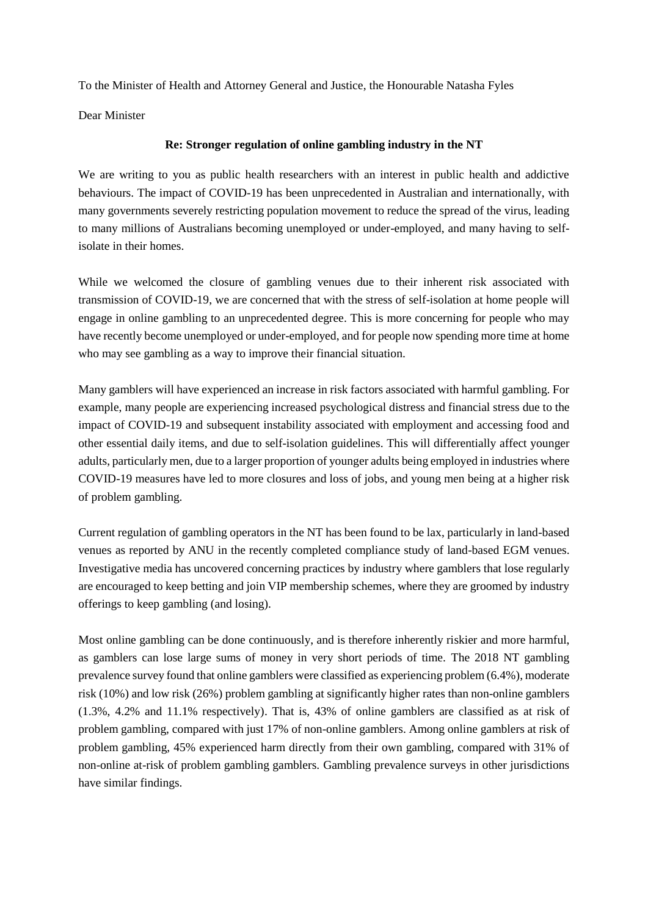To the Minister of Health and Attorney General and Justice, the Honourable Natasha Fyles

Dear Minister

## **Re: Stronger regulation of online gambling industry in the NT**

We are writing to you as public health researchers with an interest in public health and addictive behaviours. The impact of COVID-19 has been unprecedented in Australian and internationally, with many governments severely restricting population movement to reduce the spread of the virus, leading to many millions of Australians becoming unemployed or under-employed, and many having to selfisolate in their homes.

While we welcomed the closure of gambling venues due to their inherent risk associated with transmission of COVID-19, we are concerned that with the stress of self-isolation at home people will engage in online gambling to an unprecedented degree. This is more concerning for people who may have recently become unemployed or under-employed, and for people now spending more time at home who may see gambling as a way to improve their financial situation.

Many gamblers will have experienced an increase in risk factors associated with harmful gambling. For example, many people are experiencing increased psychological distress and financial stress due to the impact of COVID-19 and subsequent instability associated with employment and accessing food and other essential daily items, and due to self-isolation guidelines. This will differentially affect younger adults, particularly men, due to a larger proportion of younger adults being employed in industries where COVID-19 measures have led to more closures and loss of jobs, and young men being at a higher risk of problem gambling.

Current regulation of gambling operators in the NT has been found to be lax, particularly in land-based venues as reported by ANU in the recently completed compliance study of land-based EGM venues. Investigative media has uncovered concerning practices by industry where gamblers that lose regularly are encouraged to keep betting and join VIP membership schemes, where they are groomed by industry offerings to keep gambling (and losing).

Most online gambling can be done continuously, and is therefore inherently riskier and more harmful, as gamblers can lose large sums of money in very short periods of time. The 2018 NT gambling prevalence survey found that online gamblers were classified as experiencing problem (6.4%), moderate risk (10%) and low risk (26%) problem gambling at significantly higher rates than non-online gamblers (1.3%, 4.2% and 11.1% respectively). That is, 43% of online gamblers are classified as at risk of problem gambling, compared with just 17% of non-online gamblers. Among online gamblers at risk of problem gambling, 45% experienced harm directly from their own gambling, compared with 31% of non-online at-risk of problem gambling gamblers. Gambling prevalence surveys in other jurisdictions have similar findings.